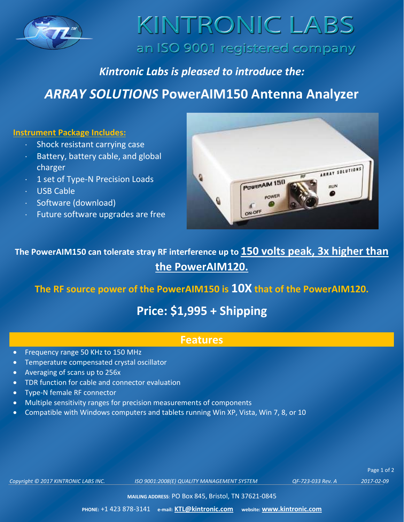

## KINTRONIC LABS an ISO 9001 registered company

### *Kintronic Labs is pleased to introduce the:*

## *ARRAY SOLUTIONS* **PowerAIM150 Antenna Analyzer**

#### **Instrument Package Includes:**

- Shock resistant carrying case
- Battery, battery cable, and global charger
- 1 set of Type-N Precision Loads
- USB Cable
- · Software (download)
- Future software upgrades are free



**The PowerAIM150 can tolerate stray RF interference up to 150 volts peak, 3x higher than the PowerAIM120.**

**The RF source power of the PowerAIM150 is 10X that of the PowerAIM120.**

## **Price: \$1,995 + Shipping**

#### **Features**

- Frequency range 50 KHz to 150 MHz
- Temperature compensated crystal oscillator
- Averaging of scans up to 256x
- TDR function for cable and connector evaluation
- Type-N female RF connector
- Multiple sensitivity ranges for precision measurements of components
- Compatible with Windows computers and tablets running Win XP, Vista, Win 7, 8, or 10

*Copyright © 2017 KINTRONIC LABS INC. ISO 9001:2008(E) QUALITY MANAGEMENT SYSTEM QF-723-033 Rev. A 2017-02-09*

Page 1 of 2

**MAILING ADDRESS**: PO Box 845, Bristol, TN 37621-0845

**PHONE:** +1 423 878-3141 **e-mail: [KTL@kintronic.com](mailto:KTL@kintronic.com) website: [www.kintronic.com](http://www.kintronic.com/)**